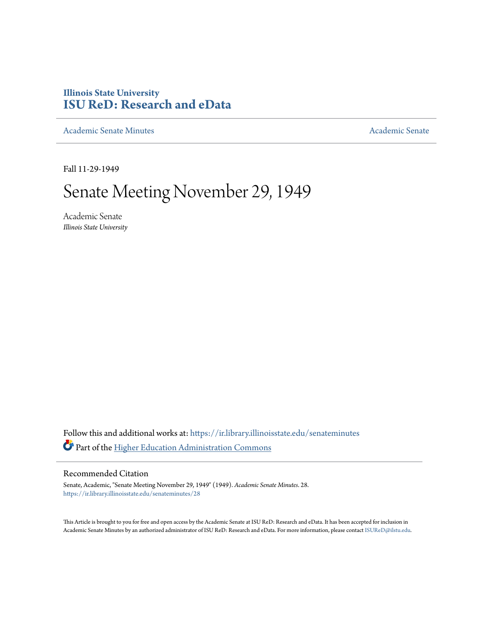## **Illinois State University [ISU ReD: Research and eData](https://ir.library.illinoisstate.edu?utm_source=ir.library.illinoisstate.edu%2Fsenateminutes%2F28&utm_medium=PDF&utm_campaign=PDFCoverPages)**

[Academic Senate Minutes](https://ir.library.illinoisstate.edu/senateminutes?utm_source=ir.library.illinoisstate.edu%2Fsenateminutes%2F28&utm_medium=PDF&utm_campaign=PDFCoverPages) [Academic Senate](https://ir.library.illinoisstate.edu/senate?utm_source=ir.library.illinoisstate.edu%2Fsenateminutes%2F28&utm_medium=PDF&utm_campaign=PDFCoverPages) Academic Senate

Fall 11-29-1949

## Senate Meeting November 29, 1949

Academic Senate *Illinois State University*

Follow this and additional works at: [https://ir.library.illinoisstate.edu/senateminutes](https://ir.library.illinoisstate.edu/senateminutes?utm_source=ir.library.illinoisstate.edu%2Fsenateminutes%2F28&utm_medium=PDF&utm_campaign=PDFCoverPages) Part of the [Higher Education Administration Commons](http://network.bepress.com/hgg/discipline/791?utm_source=ir.library.illinoisstate.edu%2Fsenateminutes%2F28&utm_medium=PDF&utm_campaign=PDFCoverPages)

## Recommended Citation

Senate, Academic, "Senate Meeting November 29, 1949" (1949). *Academic Senate Minutes*. 28. [https://ir.library.illinoisstate.edu/senateminutes/28](https://ir.library.illinoisstate.edu/senateminutes/28?utm_source=ir.library.illinoisstate.edu%2Fsenateminutes%2F28&utm_medium=PDF&utm_campaign=PDFCoverPages)

This Article is brought to you for free and open access by the Academic Senate at ISU ReD: Research and eData. It has been accepted for inclusion in Academic Senate Minutes by an authorized administrator of ISU ReD: Research and eData. For more information, please contact [ISUReD@ilstu.edu.](mailto:ISUReD@ilstu.edu)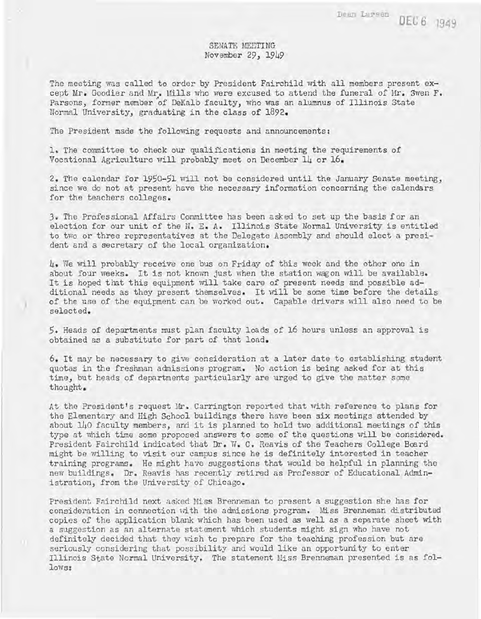## SENATE MEETING November 29, 1949

The meeting was called to order by President Fairchild with all members present except Mr. Goodier and Mr. Mills who were excused to attend the funeral of Mr. Swen F. Parsons, former member of DeKalb faculty, who was an alumnus of Illinois State Normal University, graduating in the class of 1892.

The President made the following requests and announcements:

)

1. The committee to check our qualifications in meeting the requirements of Vocational Agriculture will probably meet on December 14 or 16.

2. The calendar for 1950-51 will not be considered until the January Senate meeting, since we do not at present have the necessary information concerning the calendars for the teachers colleges.

3. The Professional Affairs Committee has been asked to set up the basis for an election for our unit of the N. E. A. Illinois State Normal University is entitled to two or three representatives at the Delegate Assembly and should elect a president and a secretary of the local organization.

4. We will probably receive one bus on Friday of this week and the other one in about four weeks. It is not known just when the station wagon will be available. It is hoped that this equipment will take care of present needs and possible additional needs as they present themselves. It will be some time before the details of the use of the equipment can be worked out. Capable drivers will also need to be selected.

5. Heads of departments must plan faculty loads of 16 hours unless an approval is obtained as a substitute for part of that load.

6. It may be necessary to give consideration at a later date to establishing student quotas in the freshman admissions program. No action is being asked for at this time, but heads of departments particularly are urged to give the matter some thought.

At the President's request Mr. Carrington reported that with reference to plans for the Elementary and High School buildings there have been six meetings attended by about 140 faculty members, and it is planned to hold two additional meetings of this type at which time some proposed answers to some of the questions will be considered. President Fairchild indicated that Dr. W. C. Reavis of the Teachers College Board might be willing to visit our campus since he is definitely interested in teacher training programs. He might have suggestions that \rould be helpful in planning the new buildings. Dr. Reavis has recently retired as Professor of Educational Administration, from the University of Chicago.

President Fairchild next asked Hiss Brenneman to present a suggestion she has for consideration in connection with the admissions program. Miss Brenneman distributed copies of the application blank which has been used as well as a separate sheet with a suggestion as an alternate statement which students might sign who have not definitely decided that they wish to prepare for the teaching profession but are seriously considering that possibility and would like an opportunity to enter Illinois State Normal University. The statement MisS Brenneman presented is as follows: